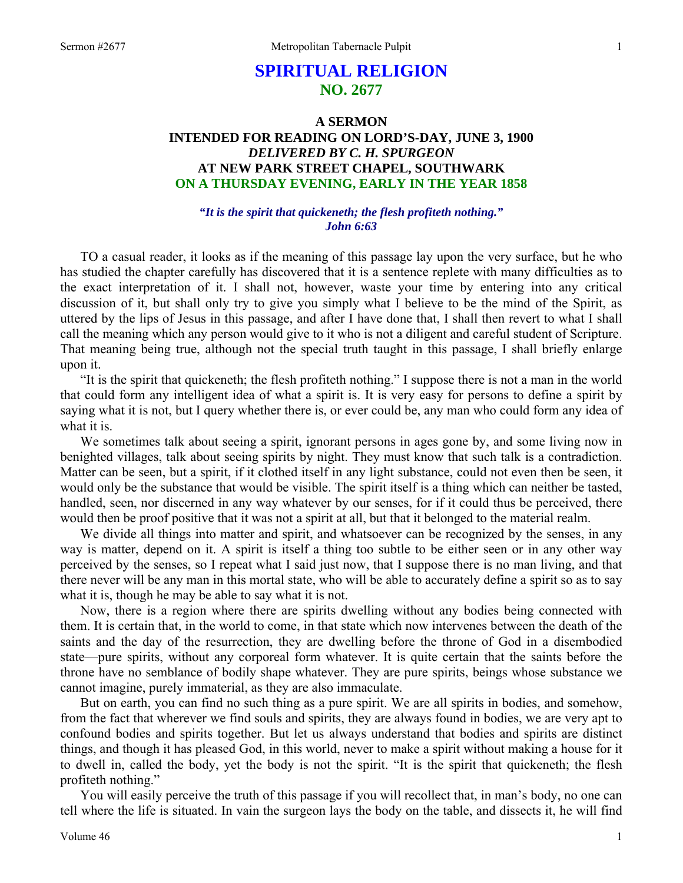## **SPIRITUAL RELIGION NO. 2677**

## **A SERMON INTENDED FOR READING ON LORD'S-DAY, JUNE 3, 1900**  *DELIVERED BY C. H. SPURGEON*  **AT NEW PARK STREET CHAPEL, SOUTHWARK ON A THURSDAY EVENING, EARLY IN THE YEAR 1858**

## *"It is the spirit that quickeneth; the flesh profiteth nothing." John 6:63*

TO a casual reader, it looks as if the meaning of this passage lay upon the very surface, but he who has studied the chapter carefully has discovered that it is a sentence replete with many difficulties as to the exact interpretation of it. I shall not, however, waste your time by entering into any critical discussion of it, but shall only try to give you simply what I believe to be the mind of the Spirit, as uttered by the lips of Jesus in this passage, and after I have done that, I shall then revert to what I shall call the meaning which any person would give to it who is not a diligent and careful student of Scripture. That meaning being true, although not the special truth taught in this passage, I shall briefly enlarge upon it.

"It is the spirit that quickeneth; the flesh profiteth nothing." I suppose there is not a man in the world that could form any intelligent idea of what a spirit is. It is very easy for persons to define a spirit by saying what it is not, but I query whether there is, or ever could be, any man who could form any idea of what it is.

We sometimes talk about seeing a spirit, ignorant persons in ages gone by, and some living now in benighted villages, talk about seeing spirits by night. They must know that such talk is a contradiction. Matter can be seen, but a spirit, if it clothed itself in any light substance, could not even then be seen, it would only be the substance that would be visible. The spirit itself is a thing which can neither be tasted, handled, seen, nor discerned in any way whatever by our senses, for if it could thus be perceived, there would then be proof positive that it was not a spirit at all, but that it belonged to the material realm.

We divide all things into matter and spirit, and whatsoever can be recognized by the senses, in any way is matter, depend on it. A spirit is itself a thing too subtle to be either seen or in any other way perceived by the senses, so I repeat what I said just now, that I suppose there is no man living, and that there never will be any man in this mortal state, who will be able to accurately define a spirit so as to say what it is, though he may be able to say what it is not.

Now, there is a region where there are spirits dwelling without any bodies being connected with them. It is certain that, in the world to come, in that state which now intervenes between the death of the saints and the day of the resurrection, they are dwelling before the throne of God in a disembodied state—pure spirits, without any corporeal form whatever. It is quite certain that the saints before the throne have no semblance of bodily shape whatever. They are pure spirits, beings whose substance we cannot imagine, purely immaterial, as they are also immaculate.

But on earth, you can find no such thing as a pure spirit. We are all spirits in bodies, and somehow, from the fact that wherever we find souls and spirits, they are always found in bodies, we are very apt to confound bodies and spirits together. But let us always understand that bodies and spirits are distinct things, and though it has pleased God, in this world, never to make a spirit without making a house for it to dwell in, called the body, yet the body is not the spirit. "It is the spirit that quickeneth; the flesh profiteth nothing."

You will easily perceive the truth of this passage if you will recollect that, in man's body, no one can tell where the life is situated. In vain the surgeon lays the body on the table, and dissects it, he will find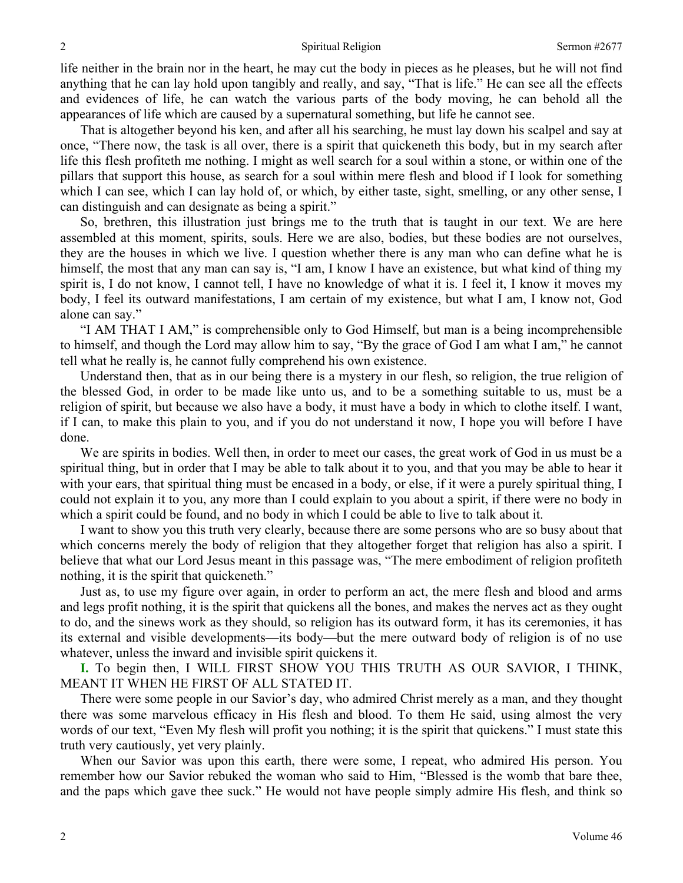life neither in the brain nor in the heart, he may cut the body in pieces as he pleases, but he will not find anything that he can lay hold upon tangibly and really, and say, "That is life." He can see all the effects and evidences of life, he can watch the various parts of the body moving, he can behold all the appearances of life which are caused by a supernatural something, but life he cannot see.

That is altogether beyond his ken, and after all his searching, he must lay down his scalpel and say at once, "There now, the task is all over, there is a spirit that quickeneth this body, but in my search after life this flesh profiteth me nothing. I might as well search for a soul within a stone, or within one of the pillars that support this house, as search for a soul within mere flesh and blood if I look for something which I can see, which I can lay hold of, or which, by either taste, sight, smelling, or any other sense, I can distinguish and can designate as being a spirit."

So, brethren, this illustration just brings me to the truth that is taught in our text. We are here assembled at this moment, spirits, souls. Here we are also, bodies, but these bodies are not ourselves, they are the houses in which we live. I question whether there is any man who can define what he is himself, the most that any man can say is, "I am, I know I have an existence, but what kind of thing my spirit is, I do not know, I cannot tell, I have no knowledge of what it is. I feel it, I know it moves my body, I feel its outward manifestations, I am certain of my existence, but what I am, I know not, God alone can say."

"I AM THAT I AM," is comprehensible only to God Himself, but man is a being incomprehensible to himself, and though the Lord may allow him to say, "By the grace of God I am what I am," he cannot tell what he really is, he cannot fully comprehend his own existence.

Understand then, that as in our being there is a mystery in our flesh, so religion, the true religion of the blessed God, in order to be made like unto us, and to be a something suitable to us, must be a religion of spirit, but because we also have a body, it must have a body in which to clothe itself. I want, if I can, to make this plain to you, and if you do not understand it now, I hope you will before I have done.

We are spirits in bodies. Well then, in order to meet our cases, the great work of God in us must be a spiritual thing, but in order that I may be able to talk about it to you, and that you may be able to hear it with your ears, that spiritual thing must be encased in a body, or else, if it were a purely spiritual thing, I could not explain it to you, any more than I could explain to you about a spirit, if there were no body in which a spirit could be found, and no body in which I could be able to live to talk about it.

I want to show you this truth very clearly, because there are some persons who are so busy about that which concerns merely the body of religion that they altogether forget that religion has also a spirit. I believe that what our Lord Jesus meant in this passage was, "The mere embodiment of religion profiteth nothing, it is the spirit that quickeneth."

Just as, to use my figure over again, in order to perform an act, the mere flesh and blood and arms and legs profit nothing, it is the spirit that quickens all the bones, and makes the nerves act as they ought to do, and the sinews work as they should, so religion has its outward form, it has its ceremonies, it has its external and visible developments—its body—but the mere outward body of religion is of no use whatever, unless the inward and invisible spirit quickens it.

**I.** To begin then, I WILL FIRST SHOW YOU THIS TRUTH AS OUR SAVIOR, I THINK, MEANT IT WHEN HE FIRST OF ALL STATED IT.

There were some people in our Savior's day, who admired Christ merely as a man, and they thought there was some marvelous efficacy in His flesh and blood. To them He said, using almost the very words of our text, "Even My flesh will profit you nothing; it is the spirit that quickens." I must state this truth very cautiously, yet very plainly.

When our Savior was upon this earth, there were some, I repeat, who admired His person. You remember how our Savior rebuked the woman who said to Him, "Blessed is the womb that bare thee, and the paps which gave thee suck." He would not have people simply admire His flesh, and think so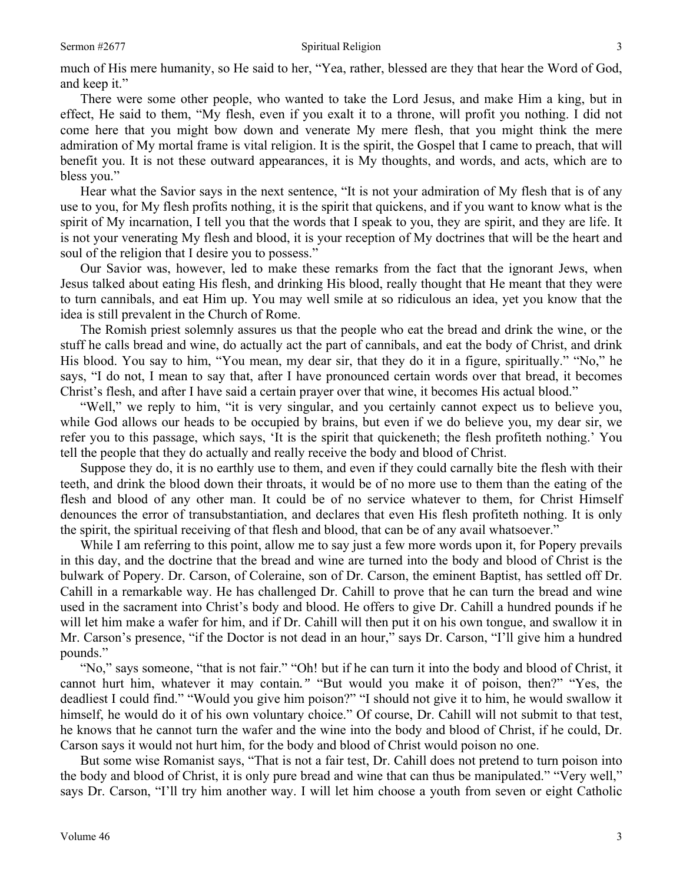much of His mere humanity, so He said to her, "Yea, rather, blessed are they that hear the Word of God, and keep it."

There were some other people, who wanted to take the Lord Jesus, and make Him a king, but in effect, He said to them, "My flesh, even if you exalt it to a throne, will profit you nothing. I did not come here that you might bow down and venerate My mere flesh, that you might think the mere admiration of My mortal frame is vital religion. It is the spirit, the Gospel that I came to preach, that will benefit you. It is not these outward appearances, it is My thoughts, and words, and acts, which are to bless you."

Hear what the Savior says in the next sentence, "It is not your admiration of My flesh that is of any use to you, for My flesh profits nothing, it is the spirit that quickens, and if you want to know what is the spirit of My incarnation, I tell you that the words that I speak to you, they are spirit, and they are life. It is not your venerating My flesh and blood, it is your reception of My doctrines that will be the heart and soul of the religion that I desire you to possess."

Our Savior was, however, led to make these remarks from the fact that the ignorant Jews, when Jesus talked about eating His flesh, and drinking His blood, really thought that He meant that they were to turn cannibals, and eat Him up. You may well smile at so ridiculous an idea, yet you know that the idea is still prevalent in the Church of Rome.

The Romish priest solemnly assures us that the people who eat the bread and drink the wine, or the stuff he calls bread and wine, do actually act the part of cannibals, and eat the body of Christ, and drink His blood. You say to him, "You mean, my dear sir, that they do it in a figure, spiritually." "No," he says, "I do not, I mean to say that, after I have pronounced certain words over that bread, it becomes Christ's flesh, and after I have said a certain prayer over that wine, it becomes His actual blood."

"Well," we reply to him, "it is very singular, and you certainly cannot expect us to believe you, while God allows our heads to be occupied by brains, but even if we do believe you, my dear sir, we refer you to this passage, which says, 'It is the spirit that quickeneth; the flesh profiteth nothing.' You tell the people that they do actually and really receive the body and blood of Christ.

Suppose they do, it is no earthly use to them, and even if they could carnally bite the flesh with their teeth, and drink the blood down their throats, it would be of no more use to them than the eating of the flesh and blood of any other man. It could be of no service whatever to them, for Christ Himself denounces the error of transubstantiation, and declares that even His flesh profiteth nothing. It is only the spirit, the spiritual receiving of that flesh and blood, that can be of any avail whatsoever."

While I am referring to this point, allow me to say just a few more words upon it, for Popery prevails in this day, and the doctrine that the bread and wine are turned into the body and blood of Christ is the bulwark of Popery. Dr. Carson, of Coleraine, son of Dr. Carson, the eminent Baptist, has settled off Dr. Cahill in a remarkable way. He has challenged Dr. Cahill to prove that he can turn the bread and wine used in the sacrament into Christ's body and blood. He offers to give Dr. Cahill a hundred pounds if he will let him make a wafer for him, and if Dr. Cahill will then put it on his own tongue, and swallow it in Mr. Carson's presence, "if the Doctor is not dead in an hour," says Dr. Carson, "I'll give him a hundred pounds."

"No," says someone, "that is not fair." "Oh! but if he can turn it into the body and blood of Christ, it cannot hurt him, whatever it may contain*."* "But would you make it of poison, then?" "Yes, the deadliest I could find." "Would you give him poison?" "I should not give it to him, he would swallow it himself, he would do it of his own voluntary choice." Of course, Dr. Cahill will not submit to that test, he knows that he cannot turn the wafer and the wine into the body and blood of Christ, if he could, Dr. Carson says it would not hurt him, for the body and blood of Christ would poison no one.

But some wise Romanist says, "That is not a fair test, Dr. Cahill does not pretend to turn poison into the body and blood of Christ, it is only pure bread and wine that can thus be manipulated." "Very well," says Dr. Carson, "I'll try him another way. I will let him choose a youth from seven or eight Catholic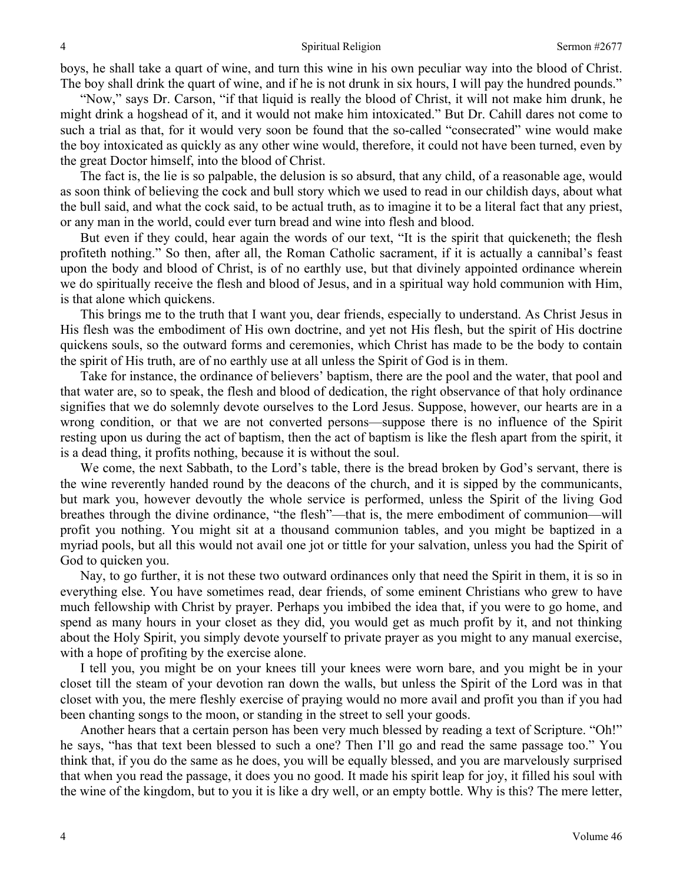boys, he shall take a quart of wine, and turn this wine in his own peculiar way into the blood of Christ. The boy shall drink the quart of wine, and if he is not drunk in six hours, I will pay the hundred pounds."

"Now," says Dr. Carson, "if that liquid is really the blood of Christ, it will not make him drunk, he might drink a hogshead of it, and it would not make him intoxicated." But Dr. Cahill dares not come to such a trial as that, for it would very soon be found that the so-called "consecrated" wine would make the boy intoxicated as quickly as any other wine would, therefore, it could not have been turned, even by the great Doctor himself, into the blood of Christ.

The fact is, the lie is so palpable, the delusion is so absurd, that any child, of a reasonable age, would as soon think of believing the cock and bull story which we used to read in our childish days, about what the bull said, and what the cock said, to be actual truth, as to imagine it to be a literal fact that any priest, or any man in the world, could ever turn bread and wine into flesh and blood.

But even if they could, hear again the words of our text, "It is the spirit that quickeneth; the flesh profiteth nothing." So then, after all, the Roman Catholic sacrament, if it is actually a cannibal's feast upon the body and blood of Christ, is of no earthly use, but that divinely appointed ordinance wherein we do spiritually receive the flesh and blood of Jesus, and in a spiritual way hold communion with Him, is that alone which quickens.

This brings me to the truth that I want you, dear friends, especially to understand. As Christ Jesus in His flesh was the embodiment of His own doctrine, and yet not His flesh, but the spirit of His doctrine quickens souls, so the outward forms and ceremonies, which Christ has made to be the body to contain the spirit of His truth, are of no earthly use at all unless the Spirit of God is in them.

Take for instance, the ordinance of believers' baptism, there are the pool and the water, that pool and that water are, so to speak, the flesh and blood of dedication, the right observance of that holy ordinance signifies that we do solemnly devote ourselves to the Lord Jesus. Suppose, however, our hearts are in a wrong condition, or that we are not converted persons—suppose there is no influence of the Spirit resting upon us during the act of baptism, then the act of baptism is like the flesh apart from the spirit, it is a dead thing, it profits nothing, because it is without the soul.

We come, the next Sabbath, to the Lord's table, there is the bread broken by God's servant, there is the wine reverently handed round by the deacons of the church, and it is sipped by the communicants, but mark you, however devoutly the whole service is performed, unless the Spirit of the living God breathes through the divine ordinance, "the flesh"—that is, the mere embodiment of communion—will profit you nothing. You might sit at a thousand communion tables, and you might be baptized in a myriad pools, but all this would not avail one jot or tittle for your salvation, unless you had the Spirit of God to quicken you.

Nay, to go further, it is not these two outward ordinances only that need the Spirit in them, it is so in everything else. You have sometimes read, dear friends, of some eminent Christians who grew to have much fellowship with Christ by prayer. Perhaps you imbibed the idea that, if you were to go home, and spend as many hours in your closet as they did, you would get as much profit by it, and not thinking about the Holy Spirit, you simply devote yourself to private prayer as you might to any manual exercise, with a hope of profiting by the exercise alone.

I tell you, you might be on your knees till your knees were worn bare, and you might be in your closet till the steam of your devotion ran down the walls, but unless the Spirit of the Lord was in that closet with you, the mere fleshly exercise of praying would no more avail and profit you than if you had been chanting songs to the moon, or standing in the street to sell your goods.

Another hears that a certain person has been very much blessed by reading a text of Scripture. "Oh!" he says, "has that text been blessed to such a one? Then I'll go and read the same passage too." You think that, if you do the same as he does, you will be equally blessed, and you are marvelously surprised that when you read the passage, it does you no good. It made his spirit leap for joy, it filled his soul with the wine of the kingdom, but to you it is like a dry well, or an empty bottle. Why is this? The mere letter,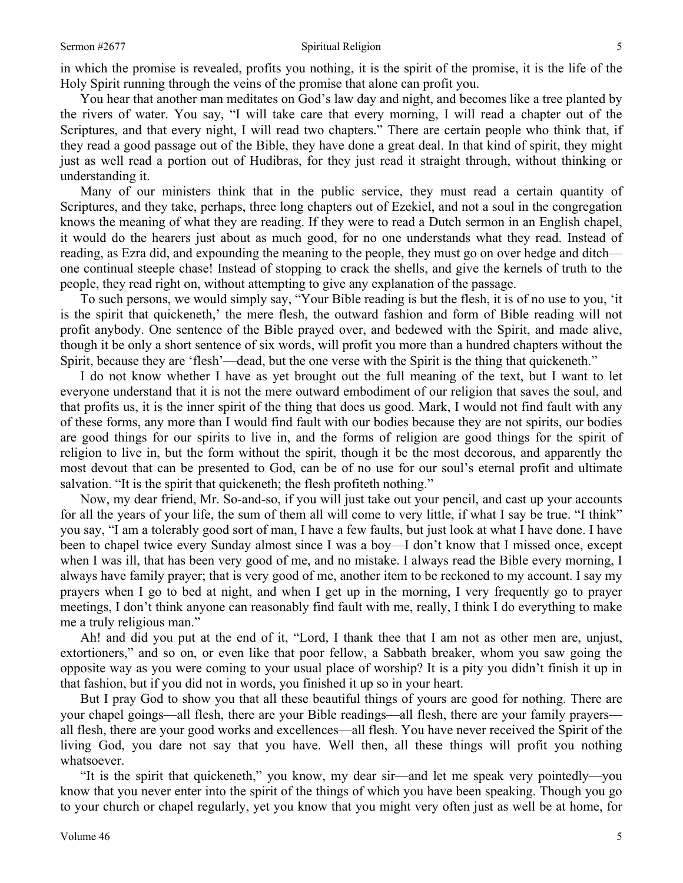in which the promise is revealed, profits you nothing, it is the spirit of the promise, it is the life of the Holy Spirit running through the veins of the promise that alone can profit you.

You hear that another man meditates on God's law day and night, and becomes like a tree planted by the rivers of water. You say, "I will take care that every morning, I will read a chapter out of the Scriptures, and that every night, I will read two chapters." There are certain people who think that, if they read a good passage out of the Bible, they have done a great deal. In that kind of spirit, they might just as well read a portion out of Hudibras, for they just read it straight through, without thinking or understanding it.

Many of our ministers think that in the public service, they must read a certain quantity of Scriptures, and they take, perhaps, three long chapters out of Ezekiel, and not a soul in the congregation knows the meaning of what they are reading. If they were to read a Dutch sermon in an English chapel, it would do the hearers just about as much good, for no one understands what they read. Instead of reading, as Ezra did, and expounding the meaning to the people, they must go on over hedge and ditch one continual steeple chase! Instead of stopping to crack the shells, and give the kernels of truth to the people, they read right on, without attempting to give any explanation of the passage.

To such persons, we would simply say, "Your Bible reading is but the flesh, it is of no use to you, 'it is the spirit that quickeneth,' the mere flesh, the outward fashion and form of Bible reading will not profit anybody. One sentence of the Bible prayed over, and bedewed with the Spirit, and made alive, though it be only a short sentence of six words, will profit you more than a hundred chapters without the Spirit, because they are 'flesh'—dead, but the one verse with the Spirit is the thing that quickeneth."

I do not know whether I have as yet brought out the full meaning of the text, but I want to let everyone understand that it is not the mere outward embodiment of our religion that saves the soul, and that profits us, it is the inner spirit of the thing that does us good. Mark, I would not find fault with any of these forms, any more than I would find fault with our bodies because they are not spirits, our bodies are good things for our spirits to live in, and the forms of religion are good things for the spirit of religion to live in, but the form without the spirit, though it be the most decorous, and apparently the most devout that can be presented to God, can be of no use for our soul's eternal profit and ultimate salvation. "It is the spirit that quickeneth; the flesh profiteth nothing."

Now, my dear friend, Mr. So-and-so, if you will just take out your pencil, and cast up your accounts for all the years of your life, the sum of them all will come to very little, if what I say be true. "I think" you say, "I am a tolerably good sort of man, I have a few faults, but just look at what I have done. I have been to chapel twice every Sunday almost since I was a boy—I don't know that I missed once, except when I was ill, that has been very good of me, and no mistake. I always read the Bible every morning, I always have family prayer; that is very good of me, another item to be reckoned to my account. I say my prayers when I go to bed at night, and when I get up in the morning, I very frequently go to prayer meetings, I don't think anyone can reasonably find fault with me, really, I think I do everything to make me a truly religious man."

Ah! and did you put at the end of it, "Lord*,* I thank thee that I am not as other men are, unjust, extortioners," and so on, or even like that poor fellow, a Sabbath breaker, whom you saw going the opposite way as you were coming to your usual place of worship? It is a pity you didn't finish it up in that fashion, but if you did not in words, you finished it up so in your heart.

But I pray God to show you that all these beautiful things of yours are good for nothing. There are your chapel goings—all flesh, there are your Bible readings—all flesh, there are your family prayers all flesh, there are your good works and excellences—all flesh. You have never received the Spirit of the living God, you dare not say that you have. Well then, all these things will profit you nothing whatsoever.

"It is the spirit that quickeneth," you know, my dear sir—and let me speak very pointedly—you know that you never enter into the spirit of the things of which you have been speaking. Though you go to your church or chapel regularly, yet you know that you might very often just as well be at home, for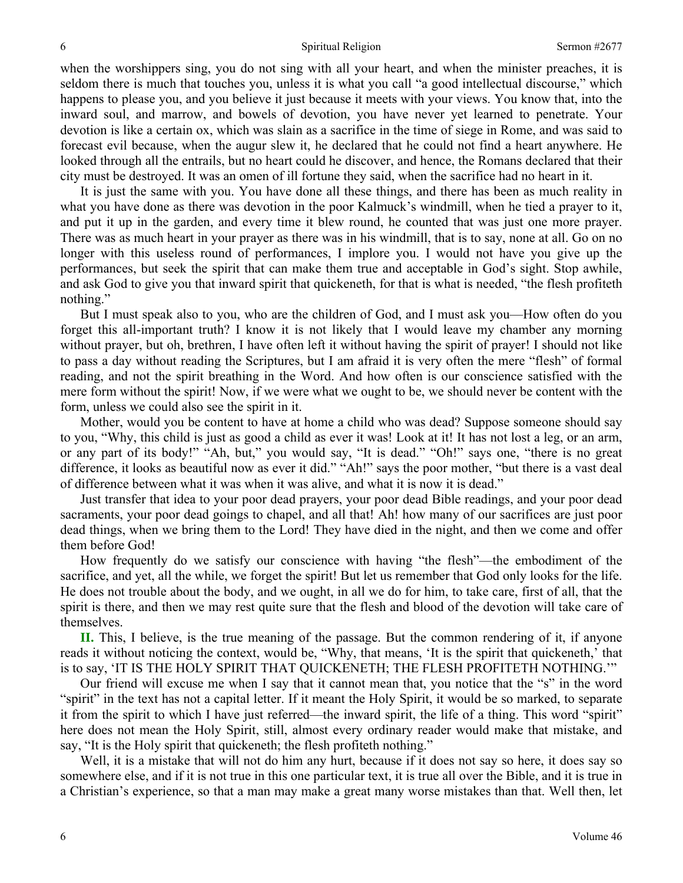when the worshippers sing, you do not sing with all your heart, and when the minister preaches, it is seldom there is much that touches you, unless it is what you call "a good intellectual discourse," which happens to please you, and you believe it just because it meets with your views. You know that, into the inward soul, and marrow, and bowels of devotion, you have never yet learned to penetrate. Your devotion is like a certain ox, which was slain as a sacrifice in the time of siege in Rome, and was said to forecast evil because, when the augur slew it, he declared that he could not find a heart anywhere. He looked through all the entrails, but no heart could he discover, and hence, the Romans declared that their city must be destroyed. It was an omen of ill fortune they said, when the sacrifice had no heart in it.

It is just the same with you. You have done all these things, and there has been as much reality in what you have done as there was devotion in the poor Kalmuck's windmill, when he tied a prayer to it, and put it up in the garden, and every time it blew round, he counted that was just one more prayer. There was as much heart in your prayer as there was in his windmill, that is to say, none at all. Go on no longer with this useless round of performances, I implore you. I would not have you give up the performances, but seek the spirit that can make them true and acceptable in God's sight. Stop awhile, and ask God to give you that inward spirit that quickeneth, for that is what is needed, "the flesh profiteth nothing."

But I must speak also to you, who are the children of God, and I must ask you—How often do you forget this all-important truth? I know it is not likely that I would leave my chamber any morning without prayer, but oh, brethren, I have often left it without having the spirit of prayer! I should not like to pass a day without reading the Scriptures, but I am afraid it is very often the mere "flesh" of formal reading, and not the spirit breathing in the Word. And how often is our conscience satisfied with the mere form without the spirit! Now, if we were what we ought to be, we should never be content with the form, unless we could also see the spirit in it.

Mother, would you be content to have at home a child who was dead? Suppose someone should say to you, "Why, this child is just as good a child as ever it was! Look at it! It has not lost a leg, or an arm, or any part of its body!" "Ah, but," you would say, "It is dead." "Oh!" says one, "there is no great difference, it looks as beautiful now as ever it did." "Ah!" says the poor mother, "but there is a vast deal of difference between what it was when it was alive, and what it is now it is dead."

Just transfer that idea to your poor dead prayers, your poor dead Bible readings, and your poor dead sacraments, your poor dead goings to chapel, and all that! Ah! how many of our sacrifices are just poor dead things, when we bring them to the Lord! They have died in the night, and then we come and offer them before God!

How frequently do we satisfy our conscience with having "the flesh"—the embodiment of the sacrifice, and yet, all the while, we forget the spirit! But let us remember that God only looks for the life. He does not trouble about the body, and we ought, in all we do for him, to take care, first of all, that the spirit is there, and then we may rest quite sure that the flesh and blood of the devotion will take care of themselves.

**II.** This, I believe, is the true meaning of the passage. But the common rendering of it, if anyone reads it without noticing the context, would be, "Why, that means, 'It is the spirit that quickeneth,' that is to say, 'IT IS THE HOLY SPIRIT THAT QUICKENETH; THE FLESH PROFITETH NOTHING.'"

Our friend will excuse me when I say that it cannot mean that, you notice that the "s" in the word "spirit" in the text has not a capital letter. If it meant the Holy Spirit, it would be so marked, to separate it from the spirit to which I have just referred—the inward spirit, the life of a thing. This word "spirit" here does not mean the Holy Spirit, still, almost every ordinary reader would make that mistake, and say, "It is the Holy spirit that quickeneth; the flesh profiteth nothing."

Well, it is a mistake that will not do him any hurt, because if it does not say so here, it does say so somewhere else, and if it is not true in this one particular text, it is true all over the Bible, and it is true in a Christian's experience, so that a man may make a great many worse mistakes than that. Well then, let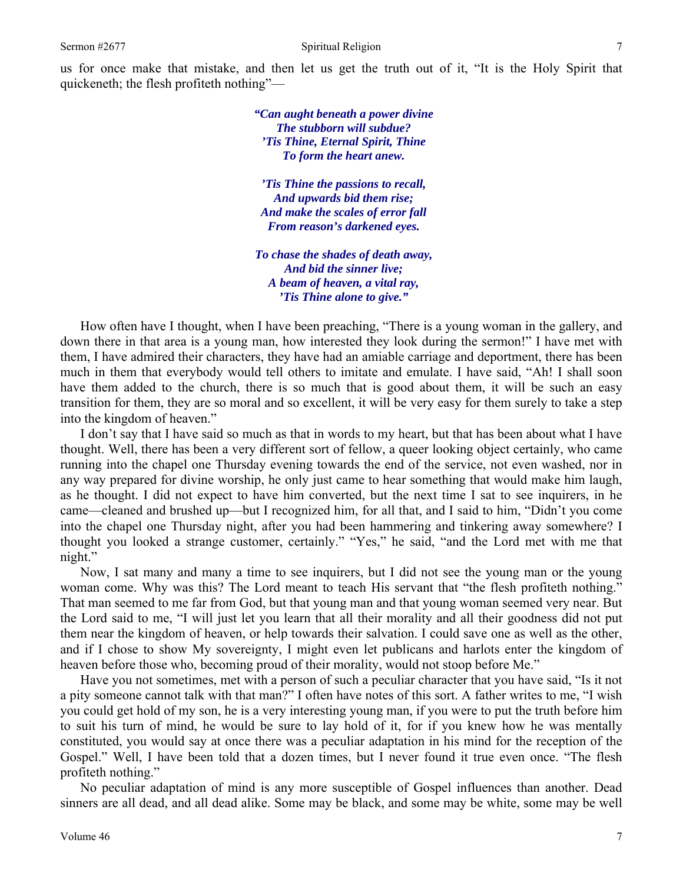*"Can aught beneath a power divine The stubborn will subdue? 'Tis Thine, Eternal Spirit, Thine To form the heart anew.* 

*'Tis Thine the passions to recall, And upwards bid them rise; And make the scales of error fall From reason's darkened eyes.* 

*To chase the shades of death away, And bid the sinner live; A beam of heaven, a vital ray, 'Tis Thine alone to give."* 

How often have I thought, when I have been preaching, "There is a young woman in the gallery, and down there in that area is a young man, how interested they look during the sermon!" I have met with them, I have admired their characters, they have had an amiable carriage and deportment, there has been much in them that everybody would tell others to imitate and emulate. I have said, "Ah! I shall soon have them added to the church, there is so much that is good about them, it will be such an easy transition for them, they are so moral and so excellent, it will be very easy for them surely to take a step into the kingdom of heaven."

I don't say that I have said so much as that in words to my heart, but that has been about what I have thought. Well, there has been a very different sort of fellow, a queer looking object certainly, who came running into the chapel one Thursday evening towards the end of the service, not even washed, nor in any way prepared for divine worship, he only just came to hear something that would make him laugh, as he thought. I did not expect to have him converted, but the next time I sat to see inquirers, in he came—cleaned and brushed up—but I recognized him, for all that, and I said to him, "Didn't you come into the chapel one Thursday night, after you had been hammering and tinkering away somewhere? I thought you looked a strange customer, certainly." "Yes," he said, "and the Lord met with me that night."

Now, I sat many and many a time to see inquirers, but I did not see the young man or the young woman come. Why was this? The Lord meant to teach His servant that "the flesh profiteth nothing." That man seemed to me far from God, but that young man and that young woman seemed very near. But the Lord said to me, "I will just let you learn that all their morality and all their goodness did not put them near the kingdom of heaven, or help towards their salvation. I could save one as well as the other, and if I chose to show My sovereignty, I might even let publicans and harlots enter the kingdom of heaven before those who, becoming proud of their morality, would not stoop before Me."

Have you not sometimes, met with a person of such a peculiar character that you have said, "Is it not a pity someone cannot talk with that man?" I often have notes of this sort. A father writes to me, "I wish you could get hold of my son, he is a very interesting young man, if you were to put the truth before him to suit his turn of mind, he would be sure to lay hold of it, for if you knew how he was mentally constituted, you would say at once there was a peculiar adaptation in his mind for the reception of the Gospel." Well, I have been told that a dozen times, but I never found it true even once. "The flesh profiteth nothing."

No peculiar adaptation of mind is any more susceptible of Gospel influences than another. Dead sinners are all dead, and all dead alike. Some may be black, and some may be white, some may be well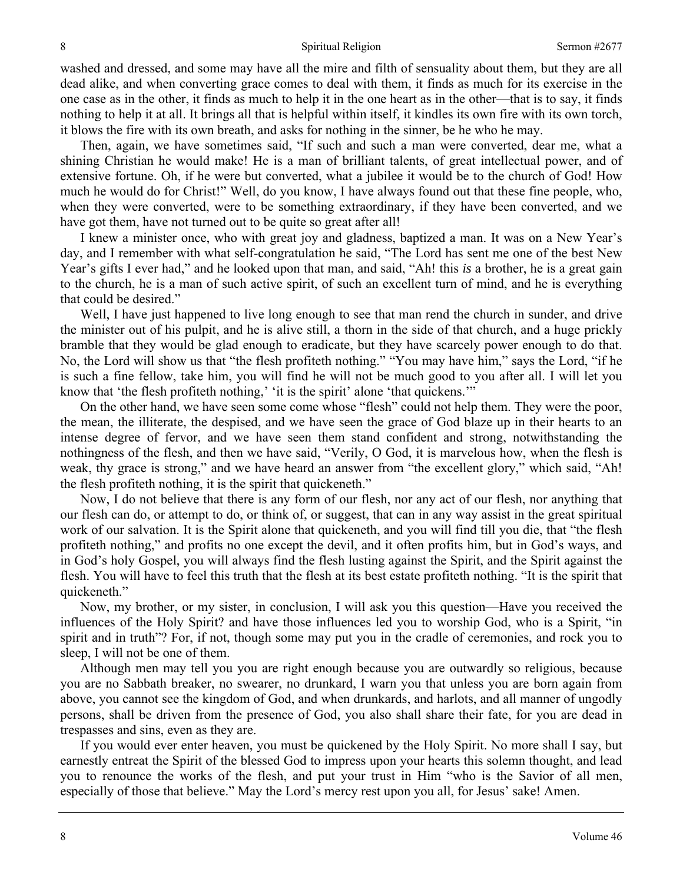washed and dressed, and some may have all the mire and filth of sensuality about them, but they are all dead alike, and when converting grace comes to deal with them, it finds as much for its exercise in the one case as in the other, it finds as much to help it in the one heart as in the other—that is to say, it finds nothing to help it at all. It brings all that is helpful within itself, it kindles its own fire with its own torch, it blows the fire with its own breath, and asks for nothing in the sinner, be he who he may.

Then, again, we have sometimes said, "If such and such a man were converted, dear me, what a shining Christian he would make! He is a man of brilliant talents, of great intellectual power, and of extensive fortune. Oh, if he were but converted, what a jubilee it would be to the church of God! How much he would do for Christ!" Well, do you know, I have always found out that these fine people, who, when they were converted, were to be something extraordinary, if they have been converted, and we have got them, have not turned out to be quite so great after all!

I knew a minister once, who with great joy and gladness, baptized a man. It was on a New Year's day, and I remember with what self-congratulation he said, "The Lord has sent me one of the best New Year's gifts I ever had," and he looked upon that man, and said, "Ah! this *is* a brother, he is a great gain to the church, he is a man of such active spirit, of such an excellent turn of mind, and he is everything that could be desired."

Well, I have just happened to live long enough to see that man rend the church in sunder, and drive the minister out of his pulpit, and he is alive still, a thorn in the side of that church, and a huge prickly bramble that they would be glad enough to eradicate, but they have scarcely power enough to do that. No, the Lord will show us that "the flesh profiteth nothing." "You may have him," says the Lord, "if he is such a fine fellow, take him, you will find he will not be much good to you after all. I will let you know that 'the flesh profiteth nothing,' 'it is the spirit' alone 'that quickens.'"

On the other hand, we have seen some come whose "flesh" could not help them. They were the poor, the mean, the illiterate, the despised, and we have seen the grace of God blaze up in their hearts to an intense degree of fervor, and we have seen them stand confident and strong, notwithstanding the nothingness of the flesh, and then we have said, "Verily, O God, it is marvelous how, when the flesh is weak, thy grace is strong," and we have heard an answer from "the excellent glory," which said, "Ah! the flesh profiteth nothing, it is the spirit that quickeneth."

Now, I do not believe that there is any form of our flesh, nor any act of our flesh, nor anything that our flesh can do, or attempt to do, or think of, or suggest, that can in any way assist in the great spiritual work of our salvation. It is the Spirit alone that quickeneth, and you will find till you die, that "the flesh profiteth nothing," and profits no one except the devil, and it often profits him, but in God's ways, and in God's holy Gospel, you will always find the flesh lusting against the Spirit, and the Spirit against the flesh. You will have to feel this truth that the flesh at its best estate profiteth nothing. "It is the spirit that quickeneth."

Now, my brother, or my sister, in conclusion, I will ask you this question—Have you received the influences of the Holy Spirit? and have those influences led you to worship God, who is a Spirit, "in spirit and in truth"? For, if not, though some may put you in the cradle of ceremonies, and rock you to sleep, I will not be one of them.

Although men may tell you you are right enough because you are outwardly so religious, because you are no Sabbath breaker, no swearer, no drunkard, I warn you that unless you are born again from above, you cannot see the kingdom of God, and when drunkards, and harlots, and all manner of ungodly persons, shall be driven from the presence of God, you also shall share their fate, for you are dead in trespasses and sins, even as they are.

If you would ever enter heaven, you must be quickened by the Holy Spirit. No more shall I say, but earnestly entreat the Spirit of the blessed God to impress upon your hearts this solemn thought, and lead you to renounce the works of the flesh, and put your trust in Him "who is the Savior of all men, especially of those that believe." May the Lord's mercy rest upon you all, for Jesus' sake! Amen.